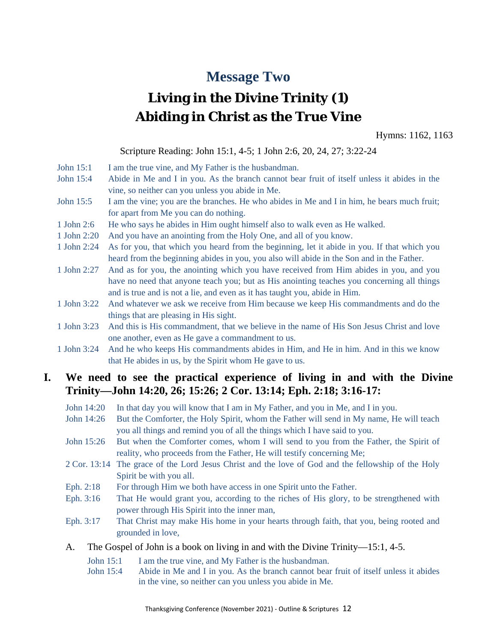## **Message Two**

# **Living in the Divine Trinity (1) Abiding in Christ as the True Vine**

Hymns: 1162, 1163

Scripture Reading: John 15:1, 4-5; 1 John 2:6, 20, 24, 27; 3:22-24

- John 15:1 I am the true vine, and My Father is the husbandman.
- John 15:4 Abide in Me and I in you. As the branch cannot bear fruit of itself unless it abides in the vine, so neither can you unless you abide in Me.
- John 15:5 I am the vine; you are the branches. He who abides in Me and I in him, he bears much fruit; for apart from Me you can do nothing.
- 1 John 2:6 He who says he abides in Him ought himself also to walk even as He walked.
- 1 John 2:20 And you have an anointing from the Holy One, and all of you know.
- 1 John 2:24 As for you, that which you heard from the beginning, let it abide in you. If that which you heard from the beginning abides in you, you also will abide in the Son and in the Father.
- 1 John 2:27 And as for you, the anointing which you have received from Him abides in you, and you have no need that anyone teach you; but as His anointing teaches you concerning all things and is true and is not a lie, and even as it has taught you, abide in Him.
- 1 John 3:22 And whatever we ask we receive from Him because we keep His commandments and do the things that are pleasing in His sight.
- 1 John 3:23 And this is His commandment, that we believe in the name of His Son Jesus Christ and love one another, even as He gave a commandment to us.
- 1 John 3:24 And he who keeps His commandments abides in Him, and He in him. And in this we know that He abides in us, by the Spirit whom He gave to us.

### **I. We need to see the practical experience of living in and with the Divine Trinity—John 14:20, 26; 15:26; 2 Cor. 13:14; Eph. 2:18; 3:16-17:**

- John 14:20 In that day you will know that I am in My Father, and you in Me, and I in you.
- John 14:26 But the Comforter, the Holy Spirit, whom the Father will send in My name, He will teach you all things and remind you of all the things which I have said to you.
- John 15:26 But when the Comforter comes, whom I will send to you from the Father, the Spirit of reality, who proceeds from the Father, He will testify concerning Me;
- 2 Cor. 13:14 The grace of the Lord Jesus Christ and the love of God and the fellowship of the Holy Spirit be with you all.
- Eph. 2:18 For through Him we both have access in one Spirit unto the Father.
- Eph. 3:16 That He would grant you, according to the riches of His glory, to be strengthened with power through His Spirit into the inner man,
- Eph. 3:17 That Christ may make His home in your hearts through faith, that you, being rooted and grounded in love,
- A. The Gospel of John is a book on living in and with the Divine Trinity—15:1, 4-5.
	- John 15:1 I am the true vine, and My Father is the husbandman.
	- John 15:4 Abide in Me and I in you. As the branch cannot bear fruit of itself unless it abides in the vine, so neither can you unless you abide in Me.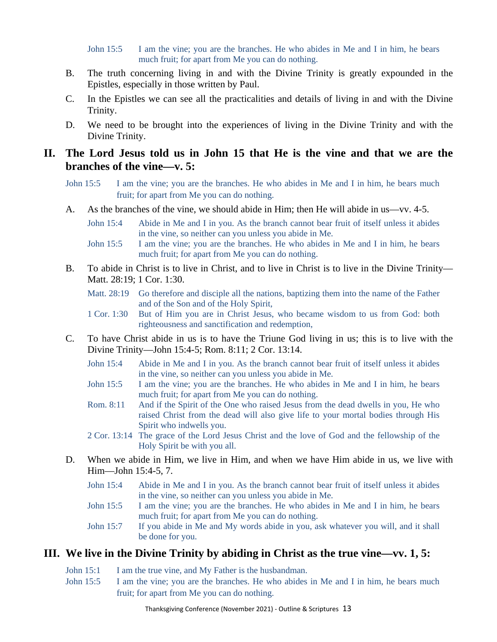John 15:5 I am the vine; you are the branches. He who abides in Me and I in him, he bears much fruit; for apart from Me you can do nothing.

- B. The truth concerning living in and with the Divine Trinity is greatly expounded in the Epistles, especially in those written by Paul.
- C. In the Epistles we can see all the practicalities and details of living in and with the Divine Trinity.
- D. We need to be brought into the experiences of living in the Divine Trinity and with the Divine Trinity.

### **II. The Lord Jesus told us in John 15 that He is the vine and that we are the branches of the vine—v. 5:**

- John 15:5 I am the vine; you are the branches. He who abides in Me and I in him, he bears much fruit; for apart from Me you can do nothing.
- A. As the branches of the vine, we should abide in Him; then He will abide in us—vv. 4-5.
	- John 15:4 Abide in Me and I in you. As the branch cannot bear fruit of itself unless it abides in the vine, so neither can you unless you abide in Me.
	- John 15:5 I am the vine; you are the branches. He who abides in Me and I in him, he bears much fruit; for apart from Me you can do nothing.
- B. To abide in Christ is to live in Christ, and to live in Christ is to live in the Divine Trinity— Matt. 28:19; 1 Cor. 1:30.
	- Matt. 28:19 Go therefore and disciple all the nations, baptizing them into the name of the Father and of the Son and of the Holy Spirit,
	- 1 Cor. 1:30 But of Him you are in Christ Jesus, who became wisdom to us from God: both righteousness and sanctification and redemption,
- C. To have Christ abide in us is to have the Triune God living in us; this is to live with the Divine Trinity—John 15:4-5; Rom. 8:11; 2 Cor. 13:14.
	- John 15:4 Abide in Me and I in you. As the branch cannot bear fruit of itself unless it abides in the vine, so neither can you unless you abide in Me.
	- John 15:5 I am the vine; you are the branches. He who abides in Me and I in him, he bears much fruit; for apart from Me you can do nothing.
	- Rom. 8:11 And if the Spirit of the One who raised Jesus from the dead dwells in you, He who raised Christ from the dead will also give life to your mortal bodies through His Spirit who indwells you.
	- 2 Cor. 13:14 The grace of the Lord Jesus Christ and the love of God and the fellowship of the Holy Spirit be with you all.
- D. When we abide in Him, we live in Him, and when we have Him abide in us, we live with Him—John 15:4-5, 7.
	- John 15:4 Abide in Me and I in you. As the branch cannot bear fruit of itself unless it abides in the vine, so neither can you unless you abide in Me.
	- John 15:5 I am the vine; you are the branches. He who abides in Me and I in him, he bears much fruit; for apart from Me you can do nothing.
	- John 15:7 If you abide in Me and My words abide in you, ask whatever you will, and it shall be done for you.

### **III. We live in the Divine Trinity by abiding in Christ as the true vine—vv. 1, 5:**

- John 15:1 I am the true vine, and My Father is the husbandman.
- John 15:5 I am the vine; you are the branches. He who abides in Me and I in him, he bears much fruit; for apart from Me you can do nothing.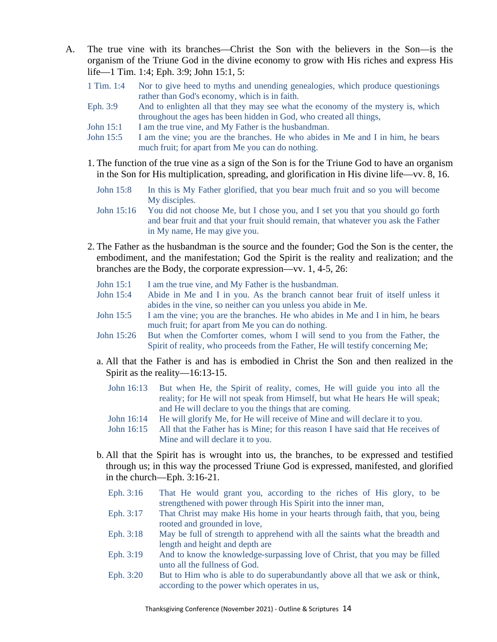- A. The true vine with its branches—Christ the Son with the believers in the Son—is the organism of the Triune God in the divine economy to grow with His riches and express His life—1 Tim. 1:4; Eph. 3:9; John 15:1, 5:
	- 1 Tim. 1:4 Nor to give heed to myths and unending genealogies, which produce questionings rather than God's economy, which is in faith.
	- Eph. 3:9 And to enlighten all that they may see what the economy of the mystery is, which throughout the ages has been hidden in God, who created all things,
	- John 15:1 I am the true vine, and My Father is the husbandman.
	- John 15:5 I am the vine; you are the branches. He who abides in Me and I in him, he bears much fruit; for apart from Me you can do nothing.
	- 1. The function of the true vine as a sign of the Son is for the Triune God to have an organism in the Son for His multiplication, spreading, and glorification in His divine life—vv. 8, 16.
		- John 15:8 In this is My Father glorified, that you bear much fruit and so you will become My disciples.
		- John 15:16 You did not choose Me, but I chose you, and I set you that you should go forth and bear fruit and that your fruit should remain, that whatever you ask the Father in My name, He may give you.
	- 2. The Father as the husbandman is the source and the founder; God the Son is the center, the embodiment, and the manifestation; God the Spirit is the reality and realization; and the branches are the Body, the corporate expression—vv. 1, 4-5, 26:
		- John 15:1 I am the true vine, and My Father is the husbandman.
		- John 15:4 Abide in Me and I in you. As the branch cannot bear fruit of itself unless it abides in the vine, so neither can you unless you abide in Me.
		- John 15:5 I am the vine; you are the branches. He who abides in Me and I in him, he bears much fruit; for apart from Me you can do nothing.
		- John 15:26 But when the Comforter comes, whom I will send to you from the Father, the Spirit of reality, who proceeds from the Father, He will testify concerning Me;
		- a. All that the Father is and has is embodied in Christ the Son and then realized in the Spirit as the reality—16:13-15.
			- John 16:13 But when He, the Spirit of reality, comes, He will guide you into all the reality; for He will not speak from Himself, but what He hears He will speak; and He will declare to you the things that are coming.
			- John 16:14 He will glorify Me, for He will receive of Mine and will declare it to you.
			- John 16:15 All that the Father has is Mine; for this reason I have said that He receives of Mine and will declare it to you.
		- b. All that the Spirit has is wrought into us, the branches, to be expressed and testified through us; in this way the processed Triune God is expressed, manifested, and glorified in the church—Eph. 3:16-21.
			- Eph. 3:16 That He would grant you, according to the riches of His glory, to be strengthened with power through His Spirit into the inner man,
			- Eph. 3:17 That Christ may make His home in your hearts through faith, that you, being rooted and grounded in love,
			- Eph. 3:18 May be full of strength to apprehend with all the saints what the breadth and length and height and depth are
			- Eph. 3:19 And to know the knowledge-surpassing love of Christ, that you may be filled unto all the fullness of God.
			- Eph. 3:20 But to Him who is able to do superabundantly above all that we ask or think, according to the power which operates in us,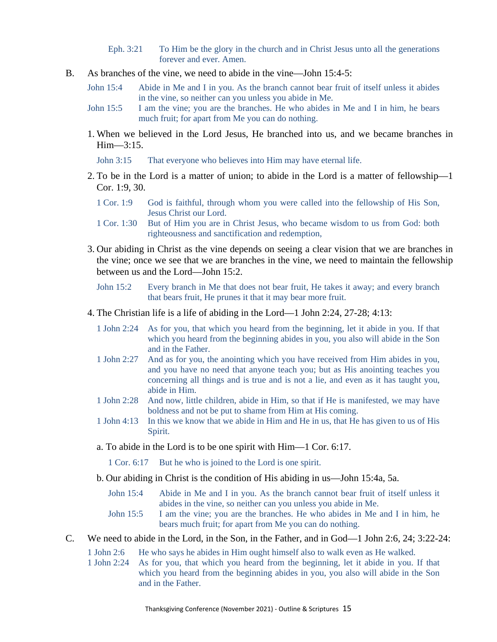- Eph. 3:21 To Him be the glory in the church and in Christ Jesus unto all the generations forever and ever. Amen.
- B. As branches of the vine, we need to abide in the vine—John 15:4-5:
	- John 15:4 Abide in Me and I in you. As the branch cannot bear fruit of itself unless it abides in the vine, so neither can you unless you abide in Me.
	- John 15:5 I am the vine; you are the branches. He who abides in Me and I in him, he bears much fruit; for apart from Me you can do nothing.
	- 1. When we believed in the Lord Jesus, He branched into us, and we became branches in Him—3:15.
		- John 3:15 That everyone who believes into Him may have eternal life.
	- 2. To be in the Lord is a matter of union; to abide in the Lord is a matter of fellowship—1 Cor. 1:9, 30.
		- 1 Cor. 1:9 God is faithful, through whom you were called into the fellowship of His Son, Jesus Christ our Lord.
		- 1 Cor. 1:30 But of Him you are in Christ Jesus, who became wisdom to us from God: both righteousness and sanctification and redemption,
	- 3. Our abiding in Christ as the vine depends on seeing a clear vision that we are branches in the vine; once we see that we are branches in the vine, we need to maintain the fellowship between us and the Lord—John 15:2.
		- John 15:2 Every branch in Me that does not bear fruit, He takes it away; and every branch that bears fruit, He prunes it that it may bear more fruit.
	- 4. The Christian life is a life of abiding in the Lord—1 John 2:24, 27-28; 4:13:
		- 1 John 2:24 As for you, that which you heard from the beginning, let it abide in you. If that which you heard from the beginning abides in you, you also will abide in the Son and in the Father.
		- 1 John 2:27 And as for you, the anointing which you have received from Him abides in you, and you have no need that anyone teach you; but as His anointing teaches you concerning all things and is true and is not a lie, and even as it has taught you, abide in Him.
		- 1 John 2:28 And now, little children, abide in Him, so that if He is manifested, we may have boldness and not be put to shame from Him at His coming.
		- 1 John 4:13 In this we know that we abide in Him and He in us, that He has given to us of His Spirit.
		- a. To abide in the Lord is to be one spirit with Him—1 Cor. 6:17.

1 Cor. 6:17 But he who is joined to the Lord is one spirit.

- b. Our abiding in Christ is the condition of His abiding in us—John 15:4a, 5a.
	- John 15:4 Abide in Me and I in you. As the branch cannot bear fruit of itself unless it abides in the vine, so neither can you unless you abide in Me.
	- John 15:5 I am the vine; you are the branches. He who abides in Me and I in him, he bears much fruit; for apart from Me you can do nothing.
- C. We need to abide in the Lord, in the Son, in the Father, and in God—1 John 2:6, 24; 3:22-24:
	- 1 John 2:6 He who says he abides in Him ought himself also to walk even as He walked.
	- 1 John 2:24 As for you, that which you heard from the beginning, let it abide in you. If that which you heard from the beginning abides in you, you also will abide in the Son and in the Father.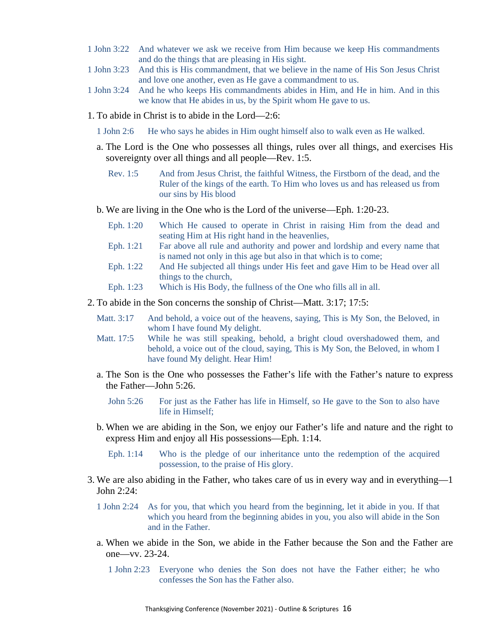- 1 John 3:22 And whatever we ask we receive from Him because we keep His commandments and do the things that are pleasing in His sight.
- 1 John 3:23 And this is His commandment, that we believe in the name of His Son Jesus Christ and love one another, even as He gave a commandment to us.
- 1 John 3:24 And he who keeps His commandments abides in Him, and He in him. And in this we know that He abides in us, by the Spirit whom He gave to us.
- 1. To abide in Christ is to abide in the Lord—2:6:
	- 1 John 2:6 He who says he abides in Him ought himself also to walk even as He walked.
	- a. The Lord is the One who possesses all things, rules over all things, and exercises His sovereignty over all things and all people—Rev. 1:5.
		- Rev. 1:5 And from Jesus Christ, the faithful Witness, the Firstborn of the dead, and the Ruler of the kings of the earth. To Him who loves us and has released us from our sins by His blood
	- b. We are living in the One who is the Lord of the universe—Eph. 1:20-23.
		- Eph. 1:20 Which He caused to operate in Christ in raising Him from the dead and seating Him at His right hand in the heavenlies,
		- Eph. 1:21 Far above all rule and authority and power and lordship and every name that is named not only in this age but also in that which is to come;
		- Eph. 1:22 And He subjected all things under His feet and gave Him to be Head over all things to the church,
		- Eph. 1:23 Which is His Body, the fullness of the One who fills all in all.
- 2. To abide in the Son concerns the sonship of Christ—Matt. 3:17; 17:5:
	- Matt. 3:17 And behold, a voice out of the heavens, saying, This is My Son, the Beloved, in whom I have found My delight.
	- Matt. 17:5 While he was still speaking, behold, a bright cloud overshadowed them, and behold, a voice out of the cloud, saying, This is My Son, the Beloved, in whom I have found My delight. Hear Him!
	- a. The Son is the One who possesses the Father's life with the Father's nature to express the Father—John 5:26.

John 5:26 For just as the Father has life in Himself, so He gave to the Son to also have life in Himself;

- b. When we are abiding in the Son, we enjoy our Father's life and nature and the right to express Him and enjoy all His possessions—Eph. 1:14.
	- Eph. 1:14 Who is the pledge of our inheritance unto the redemption of the acquired possession, to the praise of His glory.
- 3. We are also abiding in the Father, who takes care of us in every way and in everything—1 John 2:24:
	- 1 John 2:24 As for you, that which you heard from the beginning, let it abide in you. If that which you heard from the beginning abides in you, you also will abide in the Son and in the Father.
	- a. When we abide in the Son, we abide in the Father because the Son and the Father are one—vv. 23-24.
		- 1 John 2:23 Everyone who denies the Son does not have the Father either; he who confesses the Son has the Father also.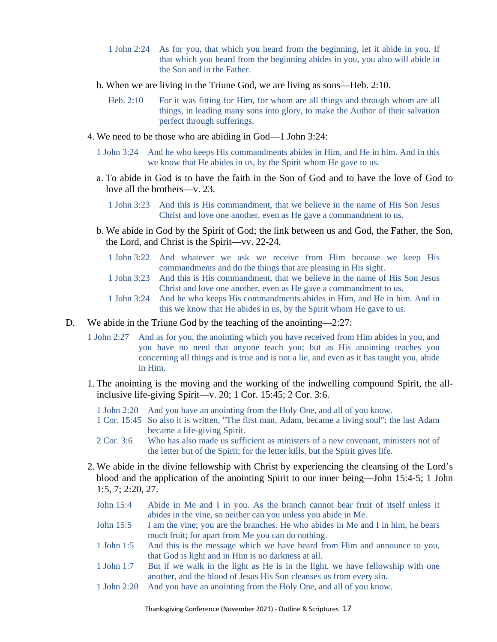- 1 John 2:24 As for you, that which you heard from the beginning, let it abide in you. If that which you heard from the beginning abides in you, you also will abide in the Son and in the Father.
- b. When we are living in the Triune God, we are living as sons—Heb. 2:10.
	- Heb. 2:10 For it was fitting for Him, for whom are all things and through whom are all things, in leading many sons into glory, to make the Author of their salvation perfect through sufferings.
- 4. We need to be those who are abiding in God—1 John 3:24:
	- 1 John 3:24 And he who keeps His commandments abides in Him, and He in him. And in this we know that He abides in us, by the Spirit whom He gave to us.
	- a. To abide in God is to have the faith in the Son of God and to have the love of God to love all the brothers—v. 23.
		- 1 John 3:23 And this is His commandment, that we believe in the name of His Son Jesus Christ and love one another, even as He gave a commandment to us.
	- b. We abide in God by the Spirit of God; the link between us and God, the Father, the Son, the Lord, and Christ is the Spirit—vv. 22-24.
		- 1 John 3:22 And whatever we ask we receive from Him because we keep His commandments and do the things that are pleasing in His sight.
		- 1 John 3:23 And this is His commandment, that we believe in the name of His Son Jesus Christ and love one another, even as He gave a commandment to us.
		- 1 John 3:24 And he who keeps His commandments abides in Him, and He in him. And in this we know that He abides in us, by the Spirit whom He gave to us.
- D. We abide in the Triune God by the teaching of the anointing—2:27:
	- 1 John 2:27 And as for you, the anointing which you have received from Him abides in you, and you have no need that anyone teach you; but as His anointing teaches you concerning all things and is true and is not a lie, and even as it has taught you, abide in Him.
	- 1. The anointing is the moving and the working of the indwelling compound Spirit, the allinclusive life-giving Spirit—v. 20; 1 Cor. 15:45; 2 Cor. 3:6.
		- 1 John 2:20 And you have an anointing from the Holy One, and all of you know.
		- 1 Cor. 15:45 So also it is written, "The first man, Adam, became a living soul"; the last Adam became a life-giving Spirit.
		- 2 Cor. 3:6 Who has also made us sufficient as ministers of a new covenant, ministers not of the letter but of the Spirit; for the letter kills, but the Spirit gives life.
	- 2. We abide in the divine fellowship with Christ by experiencing the cleansing of the Lord's blood and the application of the anointing Spirit to our inner being—John 15:4-5; 1 John 1:5, 7; 2:20, 27.
		- John 15:4 Abide in Me and I in you. As the branch cannot bear fruit of itself unless it abides in the vine, so neither can you unless you abide in Me.
		- John 15:5 I am the vine; you are the branches. He who abides in Me and I in him, he bears much fruit; for apart from Me you can do nothing.
		- 1 John 1:5 And this is the message which we have heard from Him and announce to you, that God is light and in Him is no darkness at all.
		- 1 John 1:7 But if we walk in the light as He is in the light, we have fellowship with one another, and the blood of Jesus His Son cleanses us from every sin.
		- 1 John 2:20 And you have an anointing from the Holy One, and all of you know.